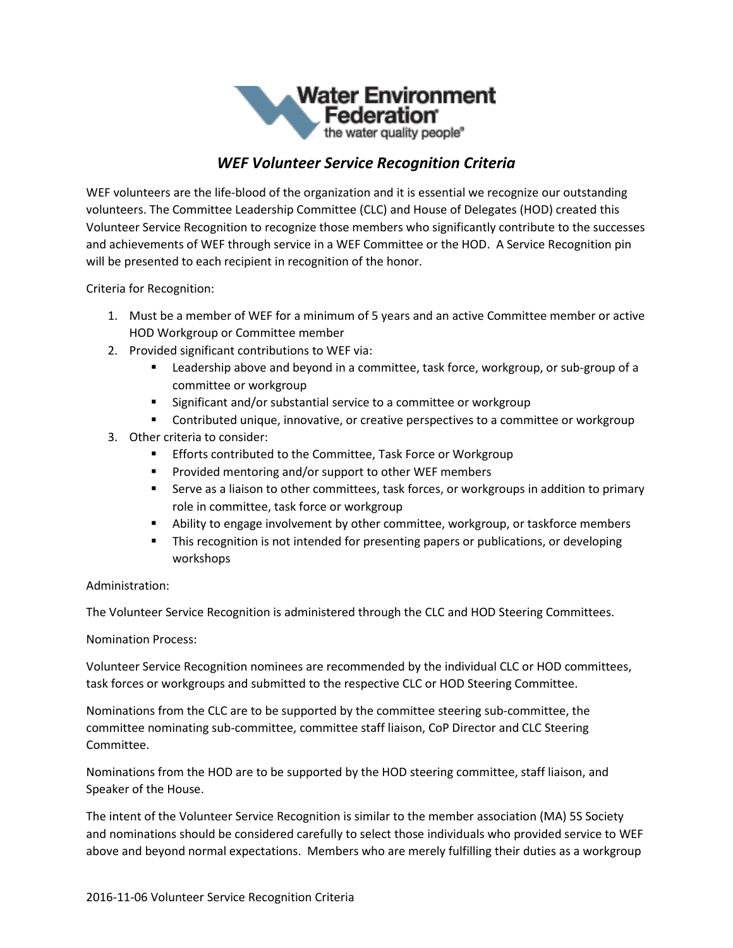

## *WEF Volunteer Service Recognition Criteria*

WEF volunteers are the life-blood of the organization and it is essential we recognize our outstanding volunteers. The Committee Leadership Committee (CLC) and House of Delegates (HOD) created this Volunteer Service Recognition to recognize those members who significantly contribute to the successes and achievements of WEF through service in a WEF Committee or the HOD. A Service Recognition pin will be presented to each recipient in recognition of the honor.

Criteria for Recognition:

- 1. Must be a member of WEF for a minimum of 5 years and an active Committee member or active HOD Workgroup or Committee member
- 2. Provided significant contributions to WEF via:
	- Leadership above and beyond in a committee, task force, workgroup, or sub-group of a committee or workgroup
	- Significant and/or substantial service to a committee or workgroup
	- Contributed unique, innovative, or creative perspectives to a committee or workgroup
- 3. Other criteria to consider:
	- **Efforts contributed to the Committee, Task Force or Workgroup**
	- Provided mentoring and/or support to other WEF members
	- **EXECT** Serve as a liaison to other committees, task forces, or workgroups in addition to primary role in committee, task force or workgroup
	- **EXED** Ability to engage involvement by other committee, workgroup, or taskforce members
	- **This recognition is not intended for presenting papers or publications, or developing** workshops

## Administration:

The Volunteer Service Recognition is administered through the CLC and HOD Steering Committees.

Nomination Process:

Volunteer Service Recognition nominees are recommended by the individual CLC or HOD committees, task forces or workgroups and submitted to the respective CLC or HOD Steering Committee.

Nominations from the CLC are to be supported by the committee steering sub-committee, the committee nominating sub-committee, committee staff liaison, CoP Director and CLC Steering Committee.

Nominations from the HOD are to be supported by the HOD steering committee, staff liaison, and Speaker of the House.

The intent of the Volunteer Service Recognition is similar to the member association (MA) 5S Society and nominations should be considered carefully to select those individuals who provided service to WEF above and beyond normal expectations. Members who are merely fulfilling their duties as a workgroup